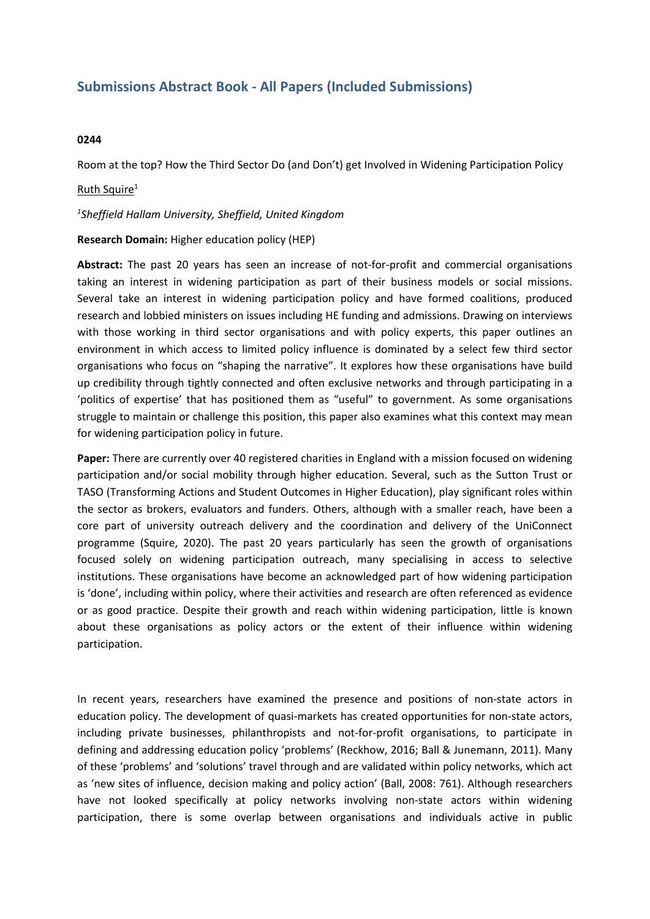# **Submissions Abstract Book - All Papers (Included Submissions)**

# **0244**

Room at the top? How the Third Sector Do (and Don't) get Involved in Widening Participation Policy

# Ruth Squire<sup>1</sup>

### *1 Sheffield Hallam University, Sheffield, United Kingdom*

#### **Research Domain:** Higher education policy (HEP)

**Abstract:** The past 20 years has seen an increase of not-for-profit and commercial organisations taking an interest in widening participation as part of their business models or social missions. Several take an interest in widening participation policy and have formed coalitions, produced research and lobbied ministers on issues including HE funding and admissions. Drawing on interviews with those working in third sector organisations and with policy experts, this paper outlines an environment in which access to limited policy influence is dominated by <sup>a</sup> select few third sector organisations who focus on "shaping the narrative". It explores how these organisations have build up credibility through tightly connected and often exclusive networks and through participating in <sup>a</sup> 'politics of expertise' that has positioned them as "useful" to government. As some organisations struggle to maintain or challenge this position, this paper also examines what this context may mean for widening participation policy in future.

**Paper:** There are currently over 40 registered charities in England with <sup>a</sup> mission focused on widening participation and/or social mobility through higher education. Several, such as the Sutton Trust or TASO (Transforming Actions and Student Outcomes in Higher Education), play significant roles within the sector as brokers, evaluators and funders. Others, although with <sup>a</sup> smaller reach, have been <sup>a</sup> core part of university outreach delivery and the coordination and delivery of the UniConnect programme (Squire, 2020). The past 20 years particularly has seen the growth of organisations focused solely on widening participation outreach, many specialising in access to selective institutions. These organisations have become an acknowledged part of how widening participation is 'done', including within policy, where their activities and research are often referenced as evidence or as good practice. Despite their growth and reach within widening participation, little is known about these organisations as policy actors or the extent of their influence within widening participation.

In recent years, researchers have examined the presence and positions of non-state actors in education policy. The development of quasi-markets has created opportunities for non-state actors, including private businesses, philanthropists and not-for-profit organisations, to participate in defining and addressing education policy 'problems' (Reckhow, 2016; Ball & Junemann, 2011). Many of these 'problems' and 'solutions' travel through and are validated within policy networks, which act as 'new sites of influence, decision making and policy action' (Ball, 2008: 761). Although researchers have not looked specifically at policy networks involving non-state actors within widening participation, there is some overlap between organisations and individuals active in public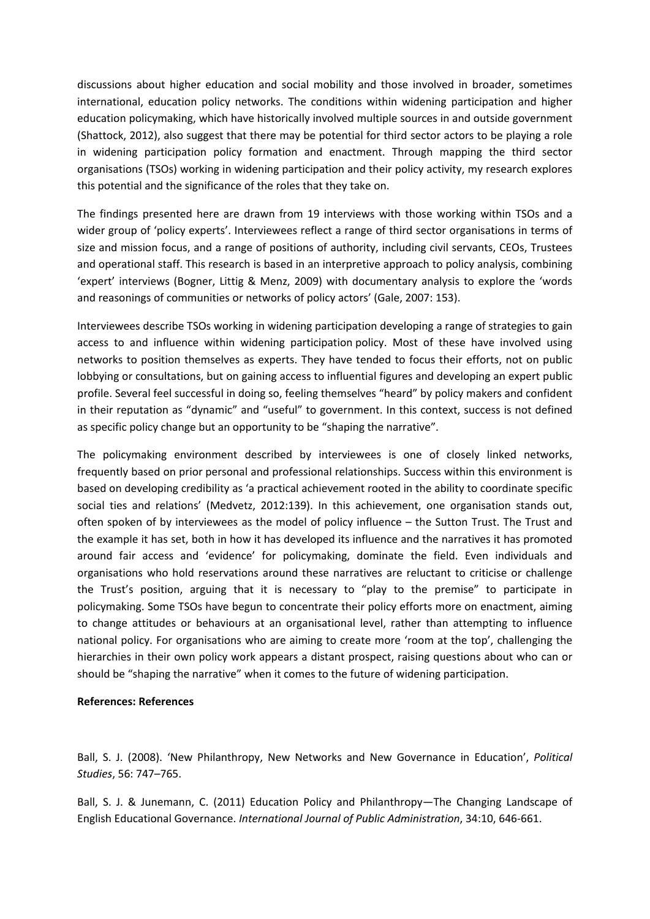discussions about higher education and social mobility and those involved in broader, sometimes international, education policy networks. The conditions within widening participation and higher education policymaking, which have historically involved multiple sources in and outside government (Shattock, 2012), also suggest that there may be potential for third sector actors to be playing <sup>a</sup> role in widening participation policy formation and enactment. Through mapping the third sector organisations (TSOs) working in widening participation and their policy activity, my research explores this potential and the significance of the roles that they take on.

The findings presented here are drawn from 19 interviews with those working within TSOs and <sup>a</sup> wider group of 'policy experts'. Interviewees reflect <sup>a</sup> range of third sector organisations in terms of size and mission focus, and <sup>a</sup> range of positions of authority, including civil servants, CEOs, Trustees and operational staff. This research is based in an interpretive approach to policy analysis, combining 'expert' interviews (Bogner, Littig & Menz, 2009) with documentary analysis to explore the 'words and reasonings of communities or networks of policy actors' (Gale, 2007: 153).

Interviewees describe TSOs working in widening participation developing <sup>a</sup> range of strategies to gain access to and influence within widening participation policy. Most of these have involved using networks to position themselves as experts. They have tended to focus their efforts, not on public lobbying or consultations, but on gaining access to influential figures and developing an expert public profile. Several feel successful in doing so, feeling themselves "heard" by policy makers and confident in their reputation as "dynamic" and "useful" to government. In this context, success is not defined as specific policy change but an opportunity to be "shaping the narrative".

The policymaking environment described by interviewees is one of closely linked networks, frequently based on prior personal and professional relationships. Success within this environment is based on developing credibility as 'a practical achievement rooted in the ability to coordinate specific social ties and relations' (Medvetz, 2012:139). In this achievement, one organisation stands out, often spoken of by interviewees as the model of policy influence – the Sutton Trust. The Trust and the example it has set, both in how it has developed its influence and the narratives it has promoted around fair access and 'evidence' for policymaking, dominate the field. Even individuals and organisations who hold reservations around these narratives are reluctant to criticise or challenge the Trust's position, arguing that it is necessary to "play to the premise" to participate in policymaking. Some TSOs have begun to concentrate their policy efforts more on enactment, aiming to change attitudes or behaviours at an organisational level, rather than attempting to influence national policy. For organisations who are aiming to create more 'room at the top', challenging the hierarchies in their own policy work appears <sup>a</sup> distant prospect, raising questions about who can or should be "shaping the narrative" when it comes to the future of widening participation.

# **References: References**

Ball, S. J. (2008). 'New Philanthropy, New Networks and New Governance in Education', *Political Studies*, 56: 747–765.

Ball, S. J. & Junemann, C. (2011) Education Policy and Philanthropy—The Changing Landscape of English Educational Governance. *International Journal of Public Administration*, 34:10, 646-661.